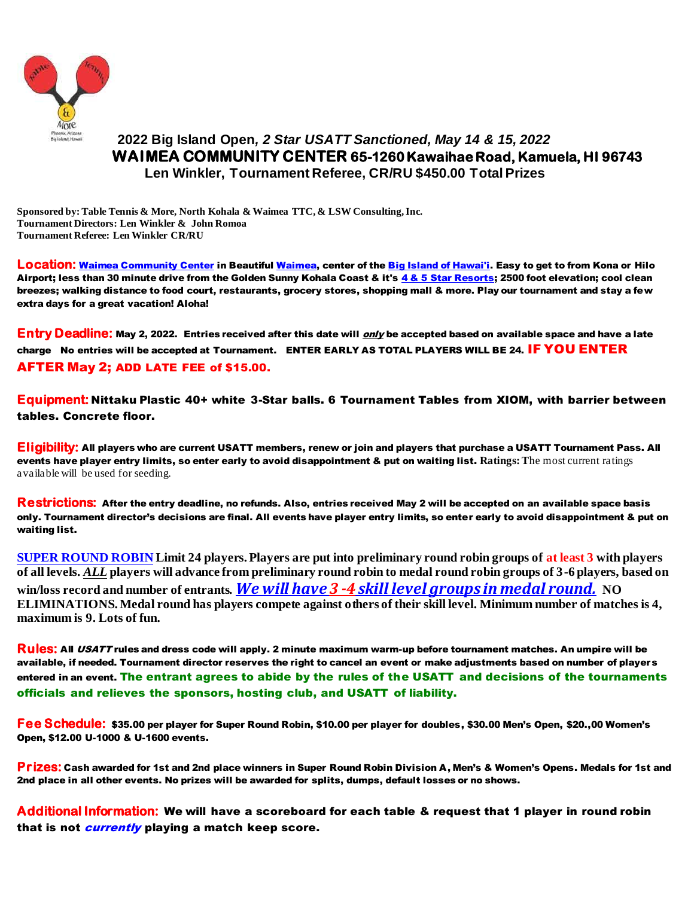

## **2022 Big Island Open***, 2 Star USATT Sanctioned, May 14 & 15, 2022*  **WAIMEA COMMUNITY CENTER 65-1260 Kawaihae Road, Kamuela, HI 96743 Len Winkler, Tournament Referee, CR/RU \$450.00 Total Prizes**

**Sponsored by: Table Tennis & More, North Kohala & Waimea TTC, & LSW Consulting, Inc. Tournament Directors: Len Winkler & John Romoa Tournament Referee: Len Winkler CR/RU**

**Location:** Waimea Community Center in Beautiful Waimea, center of the Big Island of Hawai'i. Easy to get to from Kona or Hilo Airport; less than 30 minute drive from the Golden Sunny Kohala Coast & it's 4 & 5 Star Resorts; 2500 foot elevation; cool clean breezes; walking distance to food court, restaurants, grocery stores, shopping mall & more. Play our tournament and stay a few extra days for a great vacation! Aloha!

**Entry Deadline:** May 2, 2022. Entries received after this date will only be accepted based on available space and have a late charge No entries will be accepted at Tournament. ENTER EARLY AS TOTAL PLAYERS WILL BE 24. IF YOU ENTER AFTER May 2; ADD LATE FEE of \$15.00.

**Equipment:** Nittaku Plastic 40+ white 3-Star balls. 6 Tournament Tables from XIOM, with barrier between tables. Concrete floor.

**Eligibility:** All players who are current USATT members, renew or join and players that purchase a USATT Tournament Pass. All events have player entry limits, so enter early to avoid disappointment & put on waiting list. **Ratings:T**he most current ratings available will be used for seeding.

**Restrictions:** After the entry deadline, no refunds. Also, entries received May 2 will be accepted on an available space basis only. Tournament director's decisions are final. All events have player entry limits, so enter early to avoid disappointment & put on waiting list.

**SUPER ROUND ROBIN Limit 24 players. Players are put into preliminary round robin groups of at least 3 with players of all levels.** *ALL* **players will advance from preliminary round robin to medal round robin groups of 3-6 players, based on win/loss record and number of entrants.** *We will have 3 -4 skill level groups in medal round.* **NO ELIMINATIONS. Medal round has players compete against others of their skill level. Minimum number of matches is 4, maximum is 9. Lots of fun.**

**Rules:** All USATT rules and dress code will apply. 2 minute maximum warm-up before tournament matches. An umpire will be available, if needed. Tournament director reserves the right to cancel an event or make adjustments based on number of players entered in an event. The entrant agrees to abide by the rules of the USATT and decisions of the tournaments officials and relieves the sponsors, hosting club, and USATT of liability.

**Fee Schedule:** \$35.00 per player for Super Round Robin, \$10.00 per player for doubles, \$30.00 Men's Open, \$20.,00 Women's Open, \$12.00 U-1000 & U-1600 events.

**Prizes:** Cash awarded for 1st and 2nd place winners in Super Round Robin Division A, Men's & Women's Opens. Medals for 1st and 2nd place in all other events. No prizes will be awarded for splits, dumps, default losses or no shows.

**Additional Information:** We will have a scoreboard for each table & request that 1 player in round robin that is not *currently* playing a match keep score.